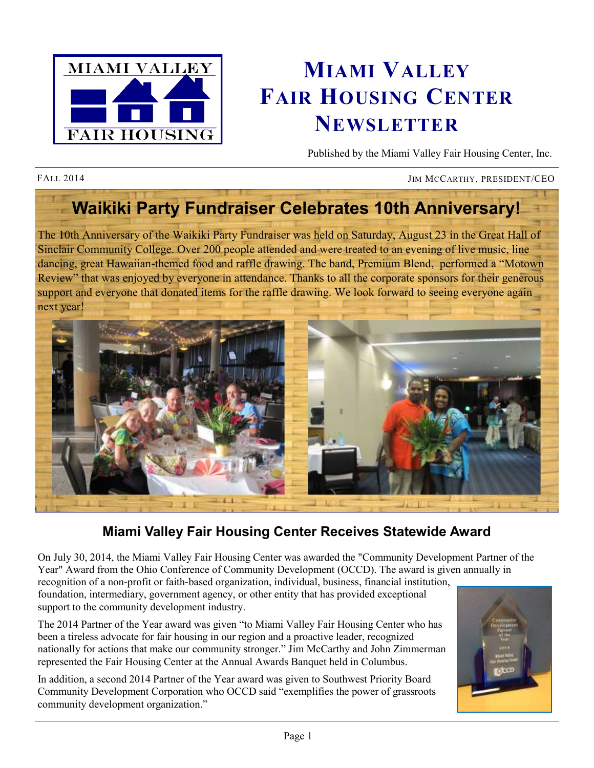

# **MIAMI VALLEY FAIR HOUSING CENTER NEWSLETTER**

Published by the Miami Valley Fair Housing Center, Inc.

FALL 2014 JIM MCCARTHY, PRESIDENT/CEO

## **Waikiki Party Fundraiser Celebrates 10th Anniversary!**

The 10th Anniversary of the Waikiki Party Fundraiser was held on Saturday, August 23 in the Great Hall of Sinclair Community College. Over 200 people attended and were treated to an evening of live music, line dancing, great Hawaiian-themed food and raffle drawing. The band, Premium Blend, performed a "Motown Review" that was enjoyed by everyone in attendance. Thanks to all the corporate sponsors for their generous support and everyone that donated items for the raffle drawing. We look forward to seeing everyone again next year!



### **Miami Valley Fair Housing Center Receives Statewide Award**

On July 30, 2014, the Miami Valley Fair Housing Center was awarded the "Community Development Partner of the Year" Award from the Ohio Conference of Community Development (OCCD). The award is given annually in recognition of a non-profit or faith-based organization, individual, business, financial institution, foundation, intermediary, government agency, or other entity that has provided exceptional

support to the community development industry.

The 2014 Partner of the Year award was given "to Miami Valley Fair Housing Center who has been a tireless advocate for fair housing in our region and a proactive leader, recognized nationally for actions that make our community stronger." Jim McCarthy and John Zimmerman represented the Fair Housing Center at the Annual Awards Banquet held in Columbus.

In addition, a second 2014 Partner of the Year award was given to Southwest Priority Board Community Development Corporation who OCCD said "exemplifies the power of grassroots community development organization."

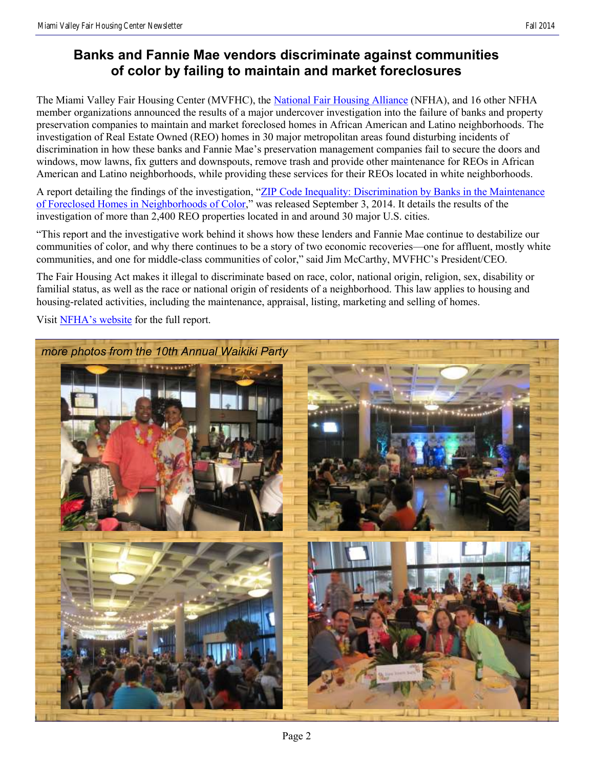#### **Banks and Fannie Mae vendors discriminate against communities of color by failing to maintain and market foreclosures**

The Miami Valley Fair Housing Center (MVFHC), the [National Fair Housing Alliance](http://www.nationalfairhousing.org) (NFHA), and 16 other NFHA member organizations announced the results of a major undercover investigation into the failure of banks and property preservation companies to maintain and market foreclosed homes in African American and Latino neighborhoods. The investigation of Real Estate Owned (REO) homes in 30 major metropolitan areas found disturbing incidents of discrimination in how these banks and Fannie Mae's preservation management companies fail to secure the doors and windows, mow lawns, fix gutters and downspouts, remove trash and provide other maintenance for REOs in African American and Latino neighborhoods, while providing these services for their REOs located in white neighborhoods.

A report detailing the findings of the investigation, "[ZIP Code Inequality: Discrimination by Banks in the Maintenance](http://mvfairhousing.com/pdfs/2014-08-27_NFHA_REO_report.PDF)  [of Foreclosed Homes in Neighborhoods of Color,](http://mvfairhousing.com/pdfs/2014-08-27_NFHA_REO_report.PDF)" was released September 3, 2014. It details the results of the investigation of more than 2,400 REO properties located in and around 30 major U.S. cities.

"This report and the investigative work behind it shows how these lenders and Fannie Mae continue to destabilize our communities of color, and why there continues to be a story of two economic recoveries—one for affluent, mostly white communities, and one for middle-class communities of color," said Jim McCarthy, MVFHC's President/CEO.

The Fair Housing Act makes it illegal to discriminate based on race, color, national origin, religion, sex, disability or familial status, as well as the race or national origin of residents of a neighborhood. This law applies to housing and housing-related activities, including the maintenance, appraisal, listing, marketing and selling of homes.

Visit [NFHA's website](http://nationalfairhousing.org/) for the full report.

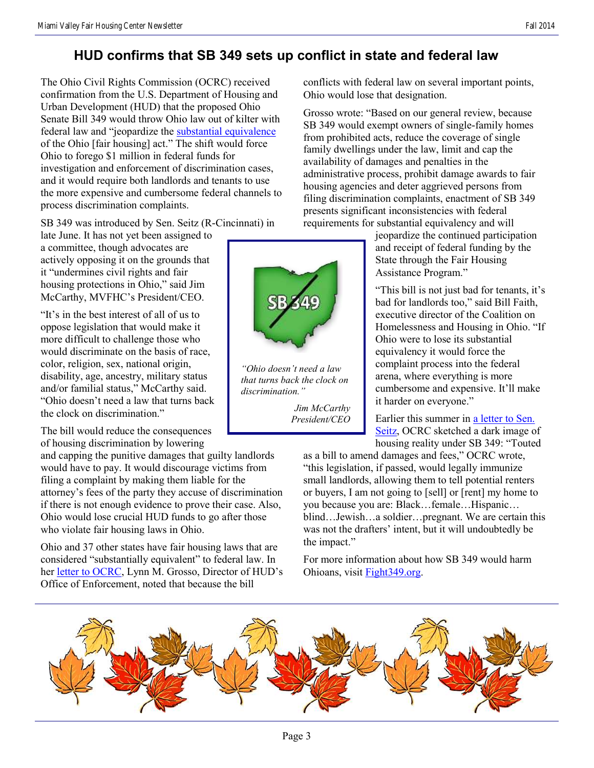#### **HUD confirms that SB 349 sets up conflict in state and federal law**

The Ohio Civil Rights Commission (OCRC) received confirmation from the U.S. Department of Housing and Urban Development (HUD) that the proposed Ohio Senate Bill 349 would throw Ohio law out of kilter with federal law and "jeopardize the [substantial equivalence](http://portal.hud.gov/hudportal/HUD?src=/program_offices/fair_housing_equal_opp/partners/FHAP/equivalency) of the Ohio [fair housing] act." The shift would force Ohio to forego \$1 million in federal funds for investigation and enforcement of discrimination cases, and it would require both landlords and tenants to use the more expensive and cumbersome federal channels to process discrimination complaints.

SB 349 was introduced by Sen. Seitz (R-Cincinnati) in

late June. It has not yet been assigned to a committee, though advocates are actively opposing it on the grounds that it "undermines civil rights and fair housing protections in Ohio," said Jim McCarthy, MVFHC's President/CEO.

"It's in the best interest of all of us to oppose legislation that would make it more difficult to challenge those who would discriminate on the basis of race, color, religion, sex, national origin, disability, age, ancestry, military status and/or familial status," McCarthy said. "Ohio doesn't need a law that turns back the clock on discrimination."

The bill would reduce the consequences of housing discrimination by lowering

and capping the punitive damages that guilty landlords would have to pay. It would discourage victims from filing a complaint by making them liable for the attorney's fees of the party they accuse of discrimination if there is not enough evidence to prove their case. Also, Ohio would lose crucial HUD funds to go after those who violate fair housing laws in Ohio.

Ohio and 37 other states have fair housing laws that are considered "substantially equivalent" to federal law. In her [letter to OCRC,](http://fight349.org/HUD_analysis_of_SB349.php) Lynn M. Grosso, Director of HUD's Office of Enforcement, noted that because the bill



*"Ohio doesn't need a law that turns back the clock on discrimination."*

*Jim McCarthy President/CEO*

conflicts with federal law on several important points, Ohio would lose that designation.

Grosso wrote: "Based on our general review, because SB 349 would exempt owners of single-family homes from prohibited acts, reduce the coverage of single family dwellings under the law, limit and cap the availability of damages and penalties in the administrative process, prohibit damage awards to fair housing agencies and deter aggrieved persons from filing discrimination complaints, enactment of SB 349 presents significant inconsistencies with federal requirements for substantial equivalency and will

jeopardize the continued participation and receipt of federal funding by the State through the Fair Housing Assistance Program."

"This bill is not just bad for tenants, it's bad for landlords too," said Bill Faith, executive director of the Coalition on Homelessness and Housing in Ohio. "If Ohio were to lose its substantial equivalency it would force the complaint process into the federal arena, where everything is more cumbersome and expensive. It'll make it harder on everyone."

Earlier this summer in [a letter to Sen.](http://fight349.org/OCRC_analysis_of_SB349.php)  [Seitz,](http://fight349.org/OCRC_analysis_of_SB349.php) OCRC sketched a dark image of housing reality under SB 349: "Touted

as a bill to amend damages and fees," OCRC wrote, "this legislation, if passed, would legally immunize small landlords, allowing them to tell potential renters or buyers, I am not going to [sell] or [rent] my home to you because you are: Black…female…Hispanic… blind…Jewish…a soldier…pregnant. We are certain this was not the drafters' intent, but it will undoubtedly be the impact."

For more information about how SB 349 would harm Ohioans, visit [Fight349.org.](http://fight349.org)